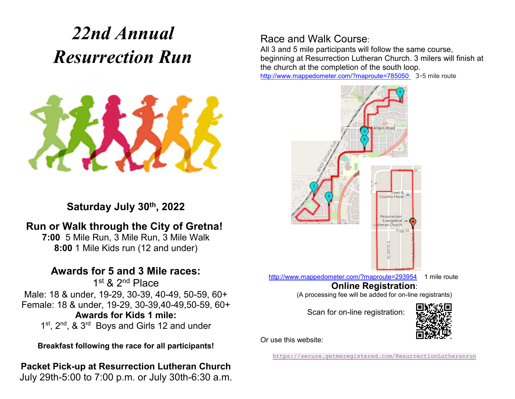# *22nd Annual Resurrection Run*



**Saturday July 30th, 2022**

## **Run or Walk through the City of Gretna!**

**7:00** 5 Mile Run, 3 Mile Run, 3 Mile Walk **8:00** 1 Mile Kids run (12 and under)

### **Awards for 5 and 3 Mile races:**

1st & 2<sup>nd</sup> Place Male: 18 & under, 19-29, 30-39, 40-49, 50-59, 60+ Female: 18 & under, 19-29, 30-39,40-49,50-59, 60+ **Awards for Kids 1 mile:** 1<sup>st</sup>, 2<sup>nd</sup>, & 3<sup>rd</sup> Boys and Girls 12 and under

**Breakfast following the race for all participants!**

#### **Packet Pick-up at Resurrection Lutheran Church** July 29th-5:00 to 7:00 p.m. or July 30th-6:30 a.m.

## Race and Walk Course:

All 3 and 5 mile participants will follow the same course, beginning at Resurrection Lutheran Church. 3 milers will finish at the church at the completion of the south loop.

<http://www.mappedometer.com/?maproute=785050> 3-5 mile route



<http://www.mappedometer.com/?maproute=293954> 1 mile route

#### **Online Registration**:

(A processing fee will be added for on-line registrants)

Scan for on-line registration:



Or use this website:

<https://secure.getmeregistered.com/ResurrectionLutheranrun>